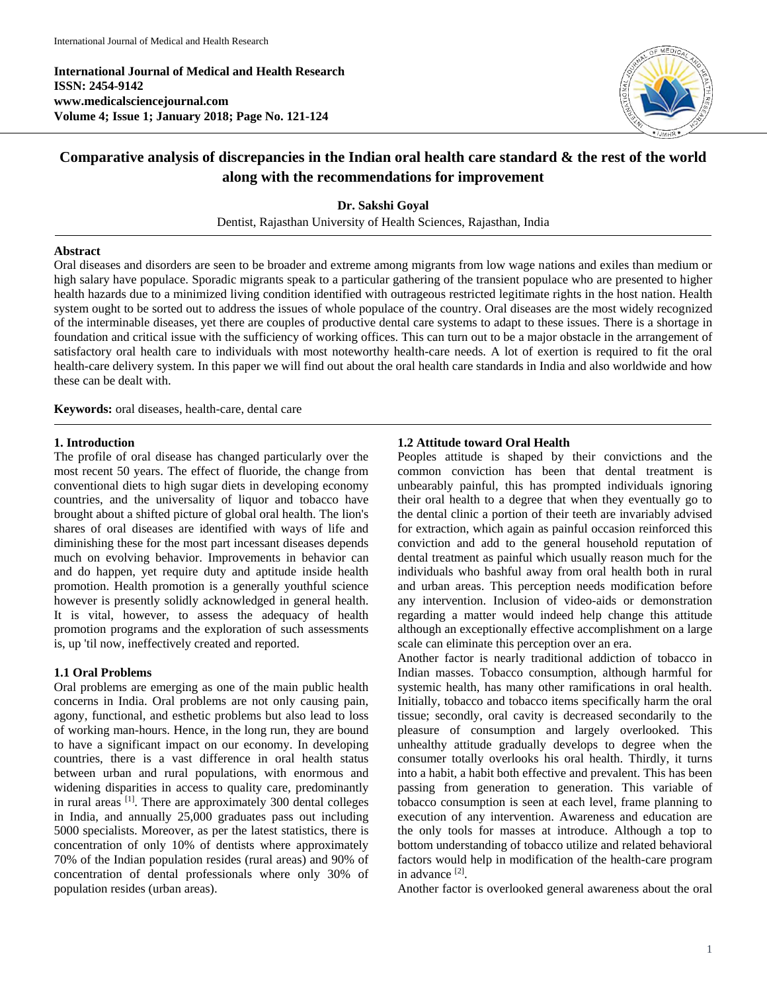**International Journal of Medical and Health Research ISSN: 2454-9142 www.medicalsciencejournal.com Volume 4; Issue 1; January 2018; Page No. 121-124**



# **Comparative analysis of discrepancies in the Indian oral health care standard & the rest of the world along with the recommendations for improvement**

**Dr. Sakshi Goyal** Dentist, Rajasthan University of Health Sciences, Rajasthan, India

## **Abstract**

Oral diseases and disorders are seen to be broader and extreme among migrants from low wage nations and exiles than medium or high salary have populace. Sporadic migrants speak to a particular gathering of the transient populace who are presented to higher health hazards due to a minimized living condition identified with outrageous restricted legitimate rights in the host nation. Health system ought to be sorted out to address the issues of whole populace of the country. Oral diseases are the most widely recognized of the interminable diseases, yet there are couples of productive dental care systems to adapt to these issues. There is a shortage in foundation and critical issue with the sufficiency of working offices. This can turn out to be a major obstacle in the arrangement of satisfactory oral health care to individuals with most noteworthy health-care needs. A lot of exertion is required to fit the oral health-care delivery system. In this paper we will find out about the oral health care standards in India and also worldwide and how these can be dealt with.

**Keywords:** oral diseases, health-care, dental care

#### **1. Introduction**

The profile of oral disease has changed particularly over the most recent 50 years. The effect of fluoride, the change from conventional diets to high sugar diets in developing economy countries, and the universality of liquor and tobacco have brought about a shifted picture of global oral health. The lion's shares of oral diseases are identified with ways of life and diminishing these for the most part incessant diseases depends much on evolving behavior. Improvements in behavior can and do happen, yet require duty and aptitude inside health promotion. Health promotion is a generally youthful science however is presently solidly acknowledged in general health. It is vital, however, to assess the adequacy of health promotion programs and the exploration of such assessments is, up 'til now, ineffectively created and reported.

## **1.1 Oral Problems**

Oral problems are emerging as one of the main public health concerns in India. Oral problems are not only causing pain, agony, functional, and esthetic problems but also lead to loss of working man-hours. Hence, in the long run, they are bound to have a significant impact on our economy. In developing countries, there is a vast difference in oral health status between urban and rural populations, with enormous and widening disparities in access to quality care, predominantly in rural areas [1]. There are approximately 300 dental colleges in India, and annually 25,000 graduates pass out including 5000 specialists. Moreover, as per the latest statistics, there is concentration of only 10% of dentists where approximately 70% of the Indian population resides (rural areas) and 90% of concentration of dental professionals where only 30% of population resides (urban areas).

## **1.2 Attitude toward Oral Health**

Peoples attitude is shaped by their convictions and the common conviction has been that dental treatment is unbearably painful, this has prompted individuals ignoring their oral health to a degree that when they eventually go to the dental clinic a portion of their teeth are invariably advised for extraction, which again as painful occasion reinforced this conviction and add to the general household reputation of dental treatment as painful which usually reason much for the individuals who bashful away from oral health both in rural and urban areas. This perception needs modification before any intervention. Inclusion of video-aids or demonstration regarding a matter would indeed help change this attitude although an exceptionally effective accomplishment on a large scale can eliminate this perception over an era.

Another factor is nearly traditional addiction of tobacco in Indian masses. Tobacco consumption, although harmful for systemic health, has many other ramifications in oral health. Initially, tobacco and tobacco items specifically harm the oral tissue; secondly, oral cavity is decreased secondarily to the pleasure of consumption and largely overlooked. This unhealthy attitude gradually develops to degree when the consumer totally overlooks his oral health. Thirdly, it turns into a habit, a habit both effective and prevalent. This has been passing from generation to generation. This variable of tobacco consumption is seen at each level, frame planning to execution of any intervention. Awareness and education are the only tools for masses at introduce. Although a top to bottom understanding of tobacco utilize and related behavioral factors would help in modification of the health-care program in advance [2].

Another factor is overlooked general awareness about the oral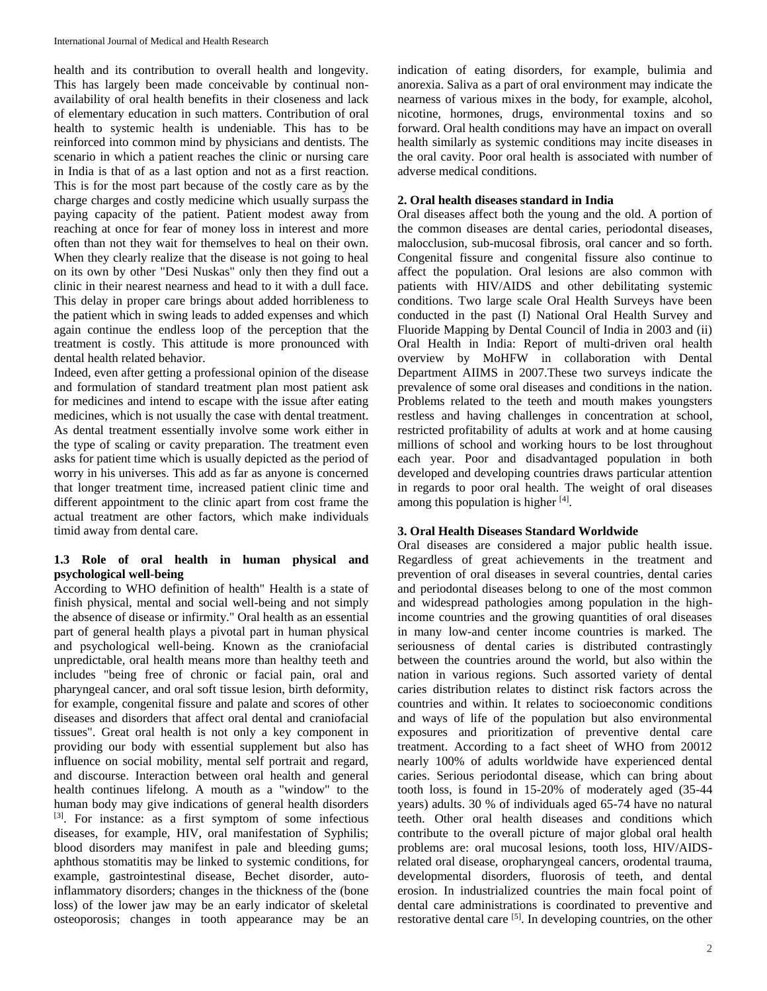health and its contribution to overall health and longevity. This has largely been made conceivable by continual nonavailability of oral health benefits in their closeness and lack of elementary education in such matters. Contribution of oral health to systemic health is undeniable. This has to be reinforced into common mind by physicians and dentists. The scenario in which a patient reaches the clinic or nursing care in India is that of as a last option and not as a first reaction. This is for the most part because of the costly care as by the charge charges and costly medicine which usually surpass the paying capacity of the patient. Patient modest away from reaching at once for fear of money loss in interest and more often than not they wait for themselves to heal on their own. When they clearly realize that the disease is not going to heal on its own by other "Desi Nuskas" only then they find out a clinic in their nearest nearness and head to it with a dull face. This delay in proper care brings about added horribleness to the patient which in swing leads to added expenses and which again continue the endless loop of the perception that the treatment is costly. This attitude is more pronounced with dental health related behavior.

Indeed, even after getting a professional opinion of the disease and formulation of standard treatment plan most patient ask for medicines and intend to escape with the issue after eating medicines, which is not usually the case with dental treatment. As dental treatment essentially involve some work either in the type of scaling or cavity preparation. The treatment even asks for patient time which is usually depicted as the period of worry in his universes. This add as far as anyone is concerned that longer treatment time, increased patient clinic time and different appointment to the clinic apart from cost frame the actual treatment are other factors, which make individuals timid away from dental care.

# **1.3 Role of oral health in human physical and psychological well-being**

According to WHO definition of health" Health is a state of finish physical, mental and social well-being and not simply the absence of disease or infirmity." Oral health as an essential part of general health plays a pivotal part in human physical and psychological well-being. Known as the craniofacial unpredictable, oral health means more than healthy teeth and includes "being free of chronic or facial pain, oral and pharyngeal cancer, and oral soft tissue lesion, birth deformity, for example, congenital fissure and palate and scores of other diseases and disorders that affect oral dental and craniofacial tissues". Great oral health is not only a key component in providing our body with essential supplement but also has influence on social mobility, mental self portrait and regard, and discourse. Interaction between oral health and general health continues lifelong. A mouth as a "window" to the human body may give indications of general health disorders [3]. For instance: as a first symptom of some infectious diseases, for example, HIV, oral manifestation of Syphilis; blood disorders may manifest in pale and bleeding gums; aphthous stomatitis may be linked to systemic conditions, for example, gastrointestinal disease, Bechet disorder, autoinflammatory disorders; changes in the thickness of the (bone loss) of the lower jaw may be an early indicator of skeletal osteoporosis; changes in tooth appearance may be an

indication of eating disorders, for example, bulimia and anorexia. Saliva as a part of oral environment may indicate the nearness of various mixes in the body, for example, alcohol, nicotine, hormones, drugs, environmental toxins and so forward. Oral health conditions may have an impact on overall health similarly as systemic conditions may incite diseases in the oral cavity. Poor oral health is associated with number of adverse medical conditions.

## **2. Oral health diseases standard in India**

Oral diseases affect both the young and the old. A portion of the common diseases are dental caries, periodontal diseases, malocclusion, sub-mucosal fibrosis, oral cancer and so forth. Congenital fissure and congenital fissure also continue to affect the population. Oral lesions are also common with patients with HIV/AIDS and other debilitating systemic conditions. Two large scale Oral Health Surveys have been conducted in the past (I) National Oral Health Survey and Fluoride Mapping by Dental Council of India in 2003 and (ii) Oral Health in India: Report of multi-driven oral health overview by MoHFW in collaboration with Dental Department AIIMS in 2007.These two surveys indicate the prevalence of some oral diseases and conditions in the nation. Problems related to the teeth and mouth makes youngsters restless and having challenges in concentration at school, restricted profitability of adults at work and at home causing millions of school and working hours to be lost throughout each year. Poor and disadvantaged population in both developed and developing countries draws particular attention in regards to poor oral health. The weight of oral diseases among this population is higher [4].

# **3. Oral Health Diseases Standard Worldwide**

Oral diseases are considered a major public health issue. Regardless of great achievements in the treatment and prevention of oral diseases in several countries, dental caries and periodontal diseases belong to one of the most common and widespread pathologies among population in the highincome countries and the growing quantities of oral diseases in many low-and center income countries is marked. The seriousness of dental caries is distributed contrastingly between the countries around the world, but also within the nation in various regions. Such assorted variety of dental caries distribution relates to distinct risk factors across the countries and within. It relates to socioeconomic conditions and ways of life of the population but also environmental exposures and prioritization of preventive dental care treatment. According to a fact sheet of WHO from 20012 nearly 100% of adults worldwide have experienced dental caries. Serious periodontal disease, which can bring about tooth loss, is found in 15-20% of moderately aged (35-44 years) adults. 30 % of individuals aged 65-74 have no natural teeth. Other oral health diseases and conditions which contribute to the overall picture of major global oral health problems are: oral mucosal lesions, tooth loss, HIV/AIDSrelated oral disease, oropharyngeal cancers, orodental trauma, developmental disorders, fluorosis of teeth, and dental erosion. In industrialized countries the main focal point of dental care administrations is coordinated to preventive and restorative dental care <sup>[5]</sup>. In developing countries, on the other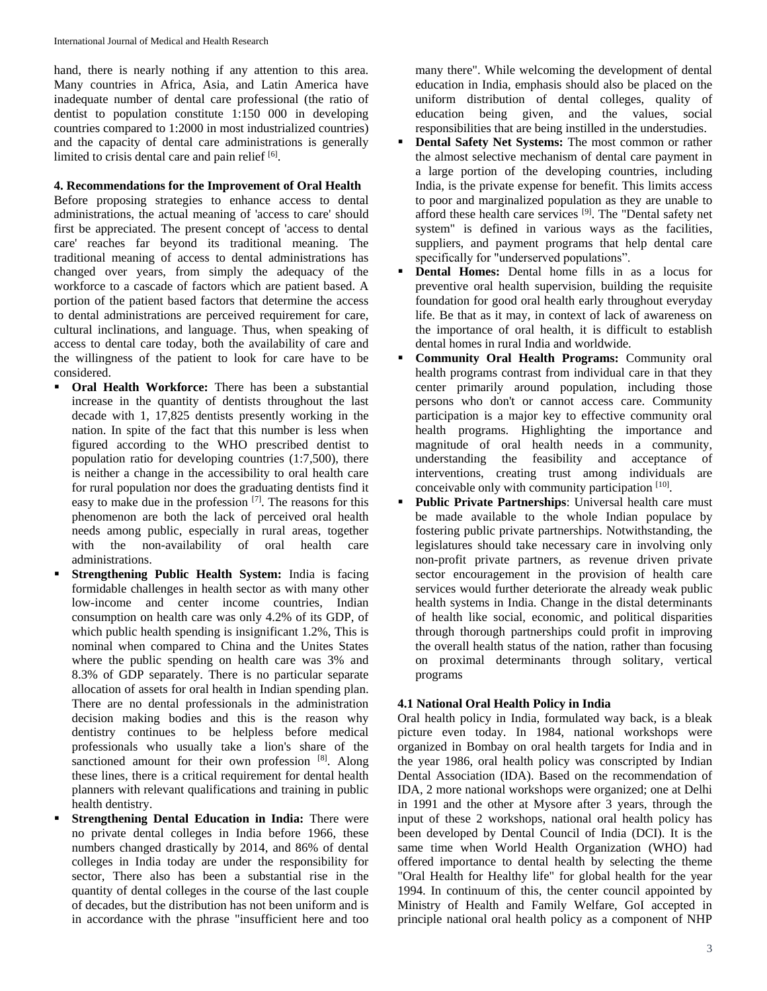hand, there is nearly nothing if any attention to this area. Many countries in Africa, Asia, and Latin America have inadequate number of dental care professional (the ratio of dentist to population constitute 1:150 000 in developing countries compared to 1:2000 in most industrialized countries) and the capacity of dental care administrations is generally limited to crisis dental care and pain relief [6].

## **4. Recommendations for the Improvement of Oral Health**

Before proposing strategies to enhance access to dental administrations, the actual meaning of 'access to care' should first be appreciated. The present concept of 'access to dental care' reaches far beyond its traditional meaning. The traditional meaning of access to dental administrations has changed over years, from simply the adequacy of the workforce to a cascade of factors which are patient based. A portion of the patient based factors that determine the access to dental administrations are perceived requirement for care, cultural inclinations, and language. Thus, when speaking of access to dental care today, both the availability of care and the willingness of the patient to look for care have to be considered.

- **Oral Health Workforce:** There has been a substantial increase in the quantity of dentists throughout the last decade with 1, 17,825 dentists presently working in the nation. In spite of the fact that this number is less when figured according to the WHO prescribed dentist to population ratio for developing countries (1:7,500), there is neither a change in the accessibility to oral health care for rural population nor does the graduating dentists find it easy to make due in the profession [7]. The reasons for this phenomenon are both the lack of perceived oral health needs among public, especially in rural areas, together with the non-availability of oral health care administrations.
- **Strengthening Public Health System:** India is facing formidable challenges in health sector as with many other low-income and center income countries, Indian consumption on health care was only 4.2% of its GDP, of which public health spending is insignificant 1.2%, This is nominal when compared to China and the Unites States where the public spending on health care was 3% and 8.3% of GDP separately. There is no particular separate allocation of assets for oral health in Indian spending plan. There are no dental professionals in the administration decision making bodies and this is the reason why dentistry continues to be helpless before medical professionals who usually take a lion's share of the sanctioned amount for their own profession [8]. Along these lines, there is a critical requirement for dental health planners with relevant qualifications and training in public health dentistry.
- **Strengthening Dental Education in India:** There were no private dental colleges in India before 1966, these numbers changed drastically by 2014, and 86% of dental colleges in India today are under the responsibility for sector, There also has been a substantial rise in the quantity of dental colleges in the course of the last couple of decades, but the distribution has not been uniform and is in accordance with the phrase "insufficient here and too

many there". While welcoming the development of dental education in India, emphasis should also be placed on the uniform distribution of dental colleges, quality of education being given, and the values, social responsibilities that are being instilled in the understudies.

- **Dental Safety Net Systems:** The most common or rather the almost selective mechanism of dental care payment in a large portion of the developing countries, including India, is the private expense for benefit. This limits access to poor and marginalized population as they are unable to afford these health care services [9]. The "Dental safety net system" is defined in various ways as the facilities, suppliers, and payment programs that help dental care specifically for "underserved populations".
- **Dental Homes:** Dental home fills in as a locus for preventive oral health supervision, building the requisite foundation for good oral health early throughout everyday life. Be that as it may, in context of lack of awareness on the importance of oral health, it is difficult to establish dental homes in rural India and worldwide.
- **Community Oral Health Programs:** Community oral health programs contrast from individual care in that they center primarily around population, including those persons who don't or cannot access care. Community participation is a major key to effective community oral health programs. Highlighting the importance and magnitude of oral health needs in a community, understanding the feasibility and acceptance of interventions, creating trust among individuals are conceivable only with community participation [10].
- **Public Private Partnerships**: Universal health care must be made available to the whole Indian populace by fostering public private partnerships. Notwithstanding, the legislatures should take necessary care in involving only non-profit private partners, as revenue driven private sector encouragement in the provision of health care services would further deteriorate the already weak public health systems in India. Change in the distal determinants of health like social, economic, and political disparities through thorough partnerships could profit in improving the overall health status of the nation, rather than focusing on proximal determinants through solitary, vertical programs

# **4.1 National Oral Health Policy in India**

Oral health policy in India, formulated way back, is a bleak picture even today. In 1984, national workshops were organized in Bombay on oral health targets for India and in the year 1986, oral health policy was conscripted by Indian Dental Association (IDA). Based on the recommendation of IDA, 2 more national workshops were organized; one at Delhi in 1991 and the other at Mysore after 3 years, through the input of these 2 workshops, national oral health policy has been developed by Dental Council of India (DCI). It is the same time when World Health Organization (WHO) had offered importance to dental health by selecting the theme "Oral Health for Healthy life" for global health for the year 1994. In continuum of this, the center council appointed by Ministry of Health and Family Welfare, GoI accepted in principle national oral health policy as a component of NHP